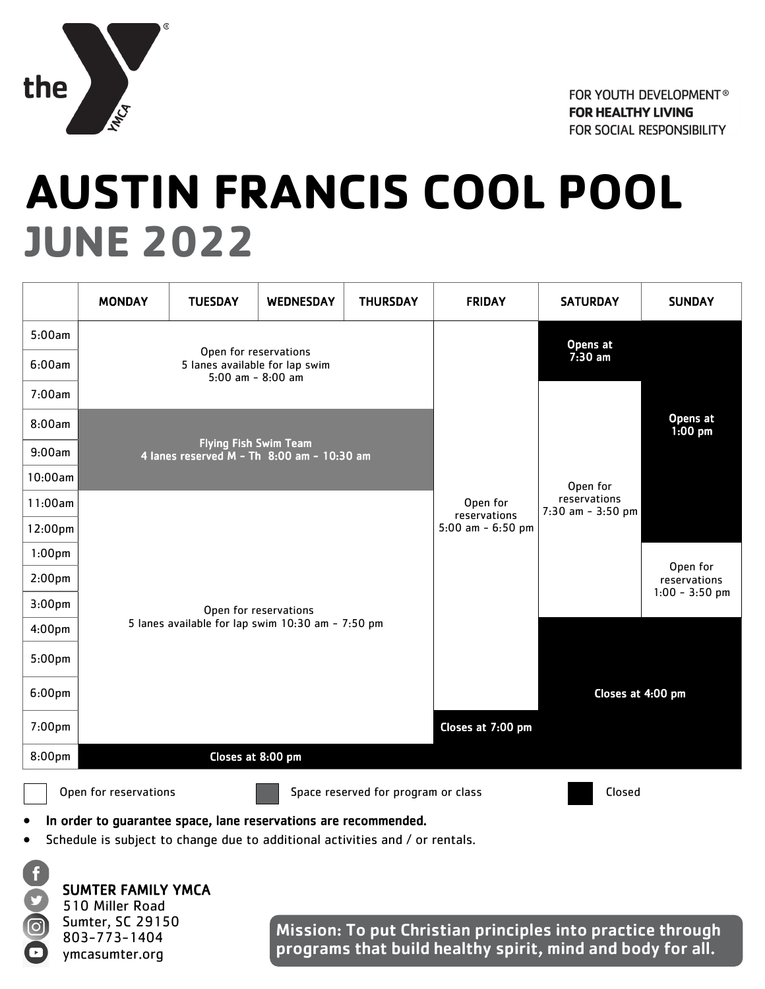

## **AUSTIN FRANCIS COOL POOL JUNE 2022**

|                    | <b>MONDAY</b>         | <b>TUESDAY</b>                                                                 | <b>WEDNESDAY</b>                    | <b>THURSDAY</b>   | <b>FRIDAY</b>                                   | <b>SATURDAY</b>                       | <b>SUNDAY</b> |  |  |  |
|--------------------|-----------------------|--------------------------------------------------------------------------------|-------------------------------------|-------------------|-------------------------------------------------|---------------------------------------|---------------|--|--|--|
| 5:00am             |                       |                                                                                |                                     |                   | Opens at                                        |                                       |               |  |  |  |
| 6:00am             |                       | Open for reservations<br>5 lanes available for lap swim<br>5:00 am - $8:00$ am |                                     |                   | $7:30 \text{ am}$                               | Opens at<br>$1:00$ pm                 |               |  |  |  |
| 7:00am             |                       |                                                                                |                                     |                   | Open for                                        |                                       |               |  |  |  |
| 8:00am             |                       |                                                                                |                                     |                   |                                                 |                                       |               |  |  |  |
| 9:00am             |                       | <b>Flying Fish Swim Team</b><br>4 lanes reserved $M - Th$ 8:00 am - 10:30 am   |                                     |                   |                                                 |                                       |               |  |  |  |
| 10:00am            |                       |                                                                                |                                     |                   |                                                 |                                       |               |  |  |  |
| 11:00am            |                       |                                                                                |                                     |                   | Open for<br>reservations<br>5:00 am $-$ 6:50 pm | reservations<br>$7:30$ am - $3:50$ pm |               |  |  |  |
| 12:00pm            |                       |                                                                                |                                     |                   |                                                 |                                       |               |  |  |  |
| $1:00$ pm          |                       |                                                                                |                                     |                   |                                                 |                                       | Open for      |  |  |  |
| 2:00 <sub>pm</sub> |                       |                                                                                |                                     |                   |                                                 | reservations<br>$1:00 - 3:50$ pm      |               |  |  |  |
| 3:00 <sub>pm</sub> |                       |                                                                                | Open for reservations               |                   |                                                 |                                       |               |  |  |  |
| 4:00 <sub>pm</sub> |                       | 5 lanes available for lap swim 10:30 am - 7:50 pm                              |                                     |                   | Closes at 4:00 pm                               |                                       |               |  |  |  |
| $5:00$ pm          |                       |                                                                                |                                     |                   |                                                 |                                       |               |  |  |  |
| 6:00 <sub>pm</sub> |                       |                                                                                |                                     |                   |                                                 |                                       |               |  |  |  |
| 7:00 <sub>pm</sub> |                       |                                                                                |                                     | Closes at 7:00 pm |                                                 |                                       |               |  |  |  |
| 8:00pm             | Closes at 8:00 pm     |                                                                                |                                     |                   |                                                 |                                       |               |  |  |  |
|                    | Open for reservations |                                                                                | Space reserved for program or class | Closed            |                                                 |                                       |               |  |  |  |

In order to guarantee space, lane reservations are recommended.

Schedule is subject to change due to additional activities and / or rentals.



SUMTER FAMILY YMCA

510 Miller Road Sumter, SC 29150 803-773-1404 ymcasumter.org

Mission: To put Christian principles into practice through programs that build healthy spirit, mind and body for all.